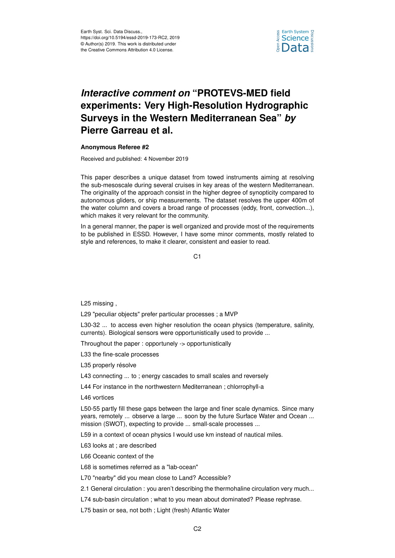

## *Interactive comment on* **"PROTEVS-MED field experiments: Very High-Resolution Hydrographic Surveys in the Western Mediterranean Sea"** *by* **Pierre Garreau et al.**

## **Anonymous Referee #2**

Received and published: 4 November 2019

This paper describes a unique dataset from towed instruments aiming at resolving the sub-mesoscale during several cruises in key areas of the western Mediterranean. The originality of the approach consist in the higher degree of synopticity compared to autonomous gliders, or ship measurements. The dataset resolves the upper 400m of the water column and covers a broad range of processes (eddy, front, convection...), which makes it very relevant for the community.

In a general manner, the paper is well organized and provide most of the requirements to be published in ESSD. However, I have some minor comments, mostly related to style and references, to make it clearer, consistent and easier to read.

C1

L25 missing ,

L29 "peculiar objects" prefer particular processes ; a MVP

L30-32 ... to access even higher resolution the ocean physics (temperature, salinity, currents). Biological sensors were opportunistically used to provide ...

Throughout the paper : opportunely -> opportunistically

L33 the fine-scale processes

L35 properly résolve

L43 connecting ... to ; energy cascades to small scales and reversely

L44 For instance in the northwestern Mediterranean ; chlorrophyll-a

L46 vortices

L50-55 partly fill these gaps between the large and finer scale dynamics. Since many years, remotely ... observe a large ... soon by the future Surface Water and Ocean ... mission (SWOT), expecting to provide ... small-scale processes ...

L59 in a context of ocean physics I would use km instead of nautical miles.

L63 looks at ; are described

L66 Oceanic context of the

L68 is sometimes referred as a "lab-ocean"

L70 "nearby" did you mean close to Land? Accessible?

2.1 General circulation : you aren't describing the thermohaline circulation very much...

L74 sub-basin circulation ; what to you mean about dominated? Please rephrase.

L75 basin or sea, not both ; Light (fresh) Atlantic Water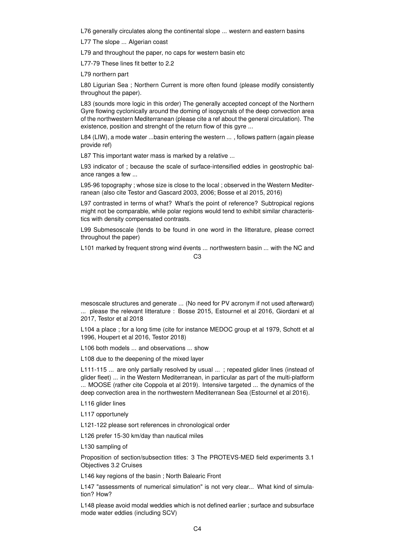L76 generally circulates along the continental slope ... western and eastern basins

L77 The slope ... Algerian coast

L79 and throughout the paper, no caps for western basin etc

L77-79 These lines fit better to 2.2

L79 northern part

L80 Ligurian Sea ; Northern Current is more often found (please modify consistently throughout the paper).

L83 (sounds more logic in this order) The generally accepted concept of the Northern Gyre flowing cyclonically around the doming of isopycnals of the deep convection area of the northwestern Mediterranean (please cite a ref about the general circulation). The existence, position and strenght of the return flow of this gyre ...

L84 (LIW), a mode water ...basin entering the western ..., follows pattern (again please provide ref)

L87 This important water mass is marked by a relative ...

L93 indicator of ; because the scale of surface-intensified eddies in geostrophic balance ranges a few ...

L95-96 topography ; whose size is close to the local ; observed in the Western Mediterranean (also cite Testor and Gascard 2003, 2006; Bosse et al 2015, 2016)

L97 contrasted in terms of what? What's the point of reference? Subtropical regions might not be comparable, while polar regions would tend to exhibit similar characteristics with density compensated contrasts.

L99 Submesoscale (tends to be found in one word in the litterature, please correct throughout the paper)

L101 marked by frequent strong wind évents ... northwestern basin ... with the NC and  $C<sub>3</sub>$ 

mesoscale structures and generate ... (No need for PV acronym if not used afterward) ... please the relevant litterature : Bosse 2015, Estournel et al 2016, Giordani et al 2017, Testor et al 2018

L104 a place ; for a long time (cite for instance MEDOC group et al 1979, Schott et al 1996, Houpert et al 2016, Testor 2018)

L106 both models ... and observations ... show

L108 due to the deepening of the mixed layer

L111-115 ... are only partially resolved by usual ... ; repeated glider lines (instead of glider fleet) ... in the Western Mediterranean, in particular as part of the multi-platform ... MOOSE (rather cite Coppola et al 2019). Intensive targeted ... the dynamics of the deep convection area in the northwestern Mediterranean Sea (Estournel et al 2016).

L116 glider lines

L117 opportunely

L121-122 please sort references in chronological order

L126 prefer 15-30 km/day than nautical miles

L130 sampling of

Proposition of section/subsection titles: 3 The PROTEVS-MED field experiments 3.1 Objectives 3.2 Cruises

L146 key regions of the basin ; North Balearic Front

L147 "assessments of numerical simulation" is not very clear... What kind of simulation? How?

L148 please avoid modal weddies which is not defined earlier ; surface and subsurface mode water eddies (including SCV)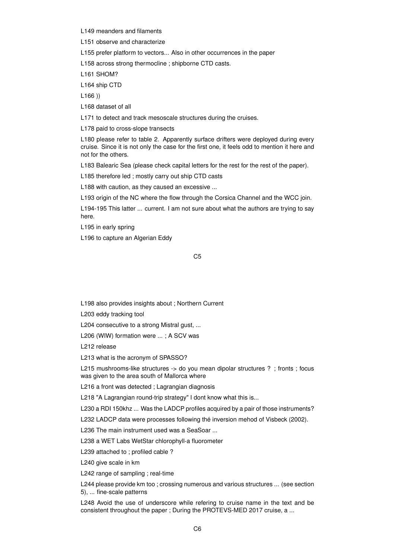L149 meanders and filaments

L151 observe and characterize

L155 prefer platform to vectors... Also in other occurrences in the paper

L158 across strong thermocline ; shipborne CTD casts.

L161 SHOM?

L164 ship CTD

L166 ))

L168 dataset of all

L171 to detect and track mesoscale structures during the cruises.

L178 paid to cross-slope transects

L180 please refer to table 2. Apparently surface drifters were deployed during every cruise. Since it is not only the case for the first one, it feels odd to mention it here and not for the others.

L183 Balearic Sea (please check capital letters for the rest for the rest of the paper).

L185 therefore led ; mostly carry out ship CTD casts

L188 with caution, as they caused an excessive ...

L193 origin of the NC where the flow through the Corsica Channel and the WCC join.

L194-195 This latter ... current. I am not sure about what the authors are trying to say here.

L195 in early spring

L196 to capture an Algerian Eddy

C5

L198 also provides insights about ; Northern Current

L203 eddy tracking tool

L204 consecutive to a strong Mistral gust, ...

L206 (WIW) formation were ... ; A SCV was

L212 release

L213 what is the acronym of SPASSO?

L215 mushrooms-like structures -> do you mean dipolar structures ? ; fronts ; focus was given to the area south of Mallorca where

L216 a front was detected ; Lagrangian diagnosis

L218 "A Lagrangian round-trip strategy" I dont know what this is...

L230 a RDI 150khz ... Was the LADCP profiles acquired by a pair of those instruments?

L232 LADCP data were processes following thé inversion mehod of Visbeck (2002).

L236 The main instrument used was a SeaSoar ...

L238 a WET Labs WetStar chlorophyll-a fluorometer

L239 attached to ; profiled cable ?

L240 give scale in km

L242 range of sampling ; real-time

L244 please provide km too ; crossing numerous and various structures ... (see section 5), ... fine-scale patterns

L248 Avoid the use of underscore while refering to cruise name in the text and be consistent throughout the paper ; During the PROTEVS-MED 2017 cruise, a ...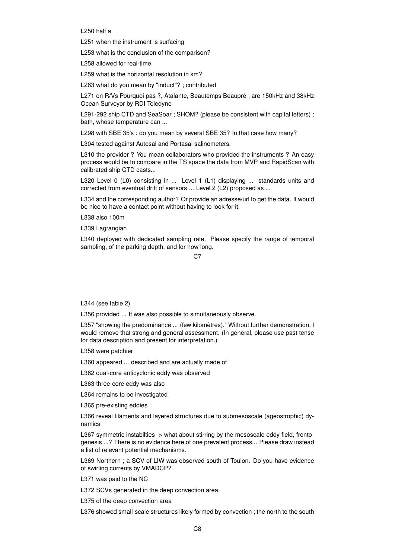L250 half a

L251 when the instrument is surfacing

L253 what is the conclusion of the comparison?

L258 allowed for real-time

L259 what is the horizontal resolution in km?

L263 what do you mean by "induct"? ; contributed

L271 on R/Vs Pourquoi pas ?, Atalante, Beautemps Beaupré ; are 150kHz and 38kHz Ocean Surveyor by RDI Teledyne

L291-292 ship CTD and SeaSoar; SHOM? (please be consistent with capital letters); bath, whose temperature can ...

L298 with SBE 35's : do you mean by several SBE 35? In that case how many?

L304 tested against Autosal and Portasal salinometers.

L310 the provider ? You mean collaborators who provided the instruments ? An easy process would be to compare in the TS space the data from MVP and RapidScan with calibrated ship CTD casts...

L320 Level 0 (L0) consisting in ... Level 1 (L1) displaying ... standards units and corrected from eventual drift of sensors ... Level 2 (L2) proposed as ...

L334 and the corresponding author? Or provide an adresse/url to get the data. It would be nice to have a contact point without having to look for it.

L338 also 100m

L339 Lagrangian

L340 deployed with dedicated sampling rate. Please specify the range of temporal sampling, of the parking depth, and for how long.

 $C<sub>2</sub>$ 

L344 (see table 2)

L356 provided ... It was also possible to simultaneously observe.

L357 "showing the predominance ... (few kilomètres)." Without further demonstration, I would remove that strong and general assessment. (In general, please use past tense for data description and present for interpretation.)

L358 were patchier

L360 appeared ... described and are actually made of

L362 dual-core anticyclonic eddy was observed

L363 three-core eddy was also

L364 remains to be investigated

L365 pre-existing eddies

L366 reveal filaments and layered structures due to submesoscale (ageostrophic) dynamics

L367 symmetric instabilties -> what about stirring by the mesoscale eddy field, frontogenesis ...? There is no evidence here of one prevalent process... Please draw instead a list of relevant potential mechanisms.

L369 Northern ; a SCV of LIW was observed south of Toulon. Do you have evidence of swirling currents by VMADCP?

L371 was paid to the NC

L372 SCVs generated in the deep convection area.

L375 of the deep convection area

L376 showed small-scale structures likely formed by convection ; the north to the south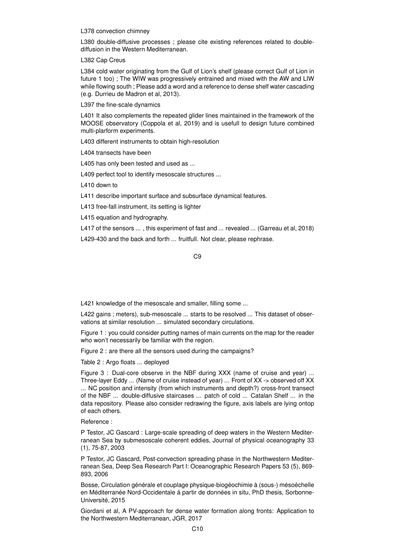## L378 convection chimney

L380 double-diffusive processes ; please cite existing references related to doublediffusion in the Western Mediterranean.

L382 Cap Creus

L384 cold water originating from the Gulf of Lion's shelf (please correct Gulf of Lion in future 1 too) ; The WIW was progressively entrained and mixed with the AW and LIW while flowing south ; Please add a word and a reference to dense shelf water cascading (e.g. Durrieu de Madron et al, 2013).

L397 the fine-scale dynamics

L401 It also complements the repeated glider lines maintained in the framework of the MOOSE observatory (Coppola et al, 2019) and is usefull to design future combined multi-plarform experiments.

L403 different instruments to obtain high-resolution

L404 transects have been

L405 has only been tested and used as ...

L409 perfect tool to identify mesoscale structures ...

L410 down to

L411 describe important surface and subsurface dynamical features.

L413 free-fall instrument, its setting is lighter

L415 equation and hydrography.

L417 of the sensors ..., this experiment of fast and ... revealed ... (Garreau et al, 2018)

L429-430 and the back and forth ... fruitfull. Not clear, please rephrase.

C9

L421 knowledge of the mesoscale and smaller, filling some ...

L422 gains ; meters), sub-mesoscale ... starts to be resolved ... This dataset of observations at similar resolution ... simulated secondary circulations.

Figure 1 : you could consider putting names of main currents on the map for the reader who won't necessarily be familiar with the region.

Figure 2 : are there all the sensors used during the campaigns?

Table 2 : Argo floats ... deployed

Figure 3 : Dual-core observe in the NBF during XXX (name of cruise and year) ... Three-layer Eddy ... (Name of cruise instead of year) ... Front of XX -> observed off XX ... NC position and intensity (from which instruments and depth?) cross-front transect of the NBF ... double-diffusive staircases ... patch of cold ... Catalan Shelf ... in the data repository. Please also consider redrawing the figure, axis labels are lying ontop of each others.

Reference :

P Testor, JC Gascard : Large-scale spreading of deep waters in the Western Mediterranean Sea by submesoscale coherent eddies, Journal of physical oceanography 33 (1), 75-87, 2003

P Testor, JC Gascard, Post-convection spreading phase in the Northwestern Mediterranean Sea, Deep Sea Research Part I: Oceanographic Research Papers 53 (5), 869- 893, 2006

Bosse, Circulation générale et couplage physique-biogéochimie à (sous-) mésoéchelle en Méditerranée Nord-Occidentale á partir de données in situ, PhD thesis, Sorbonne-Université, 2015

Giordani et al, A PV-approach for dense water formation along fronts: Application to the Northwestern Mediterranean, JGR, 2017